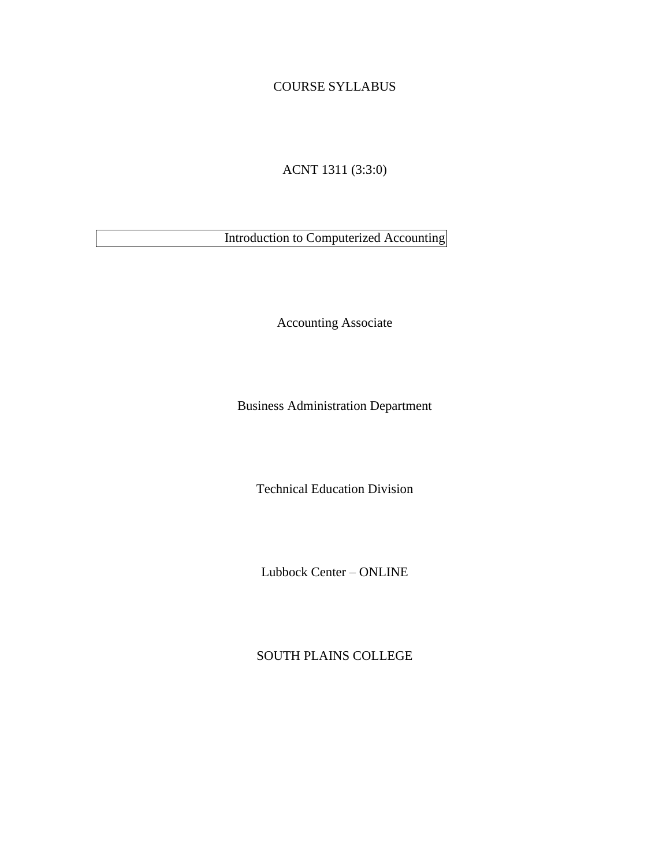# COURSE SYLLABUS

ACNT 1311 (3:3:0)

Introduction to Computerized Accounting

Accounting Associate

Business Administration Department

Technical Education Division

Lubbock Center – ONLINE

SOUTH PLAINS COLLEGE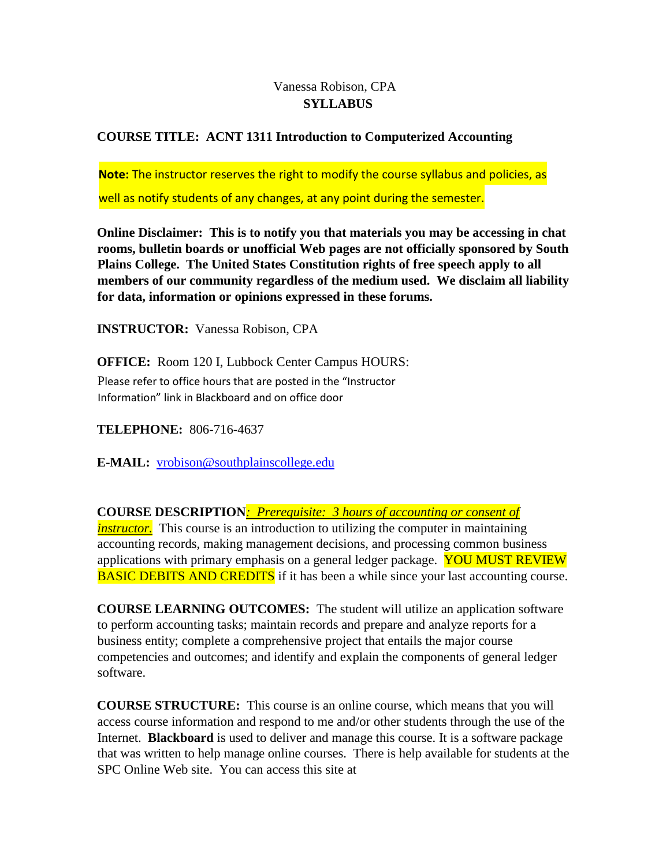# Vanessa Robison, CPA  **SYLLABUS**

# **COURSE TITLE: ACNT 1311 Introduction to Computerized Accounting**

**Note:** The instructor reserves the right to modify the course syllabus and policies, as well as notify students of any changes, at any point during the semester.

**Online Disclaimer: This is to notify you that materials you may be accessing in chat rooms, bulletin boards or unofficial Web pages are not officially sponsored by South Plains College. The United States Constitution rights of free speech apply to all members of our community regardless of the medium used. We disclaim all liability for data, information or opinions expressed in these forums.** 

**INSTRUCTOR:** Vanessa Robison, CPA

**OFFICE:** Room 120 I, Lubbock Center Campus HOURS: Please refer to office hours that are posted in the "Instructor Information" link in Blackboard and on office door

**TELEPHONE:** 806-716-4637

**E-MAIL:** vrobison@southplainscollege.edu

**COURSE DESCRIPTION***: Prerequisite: 3 hours of accounting or consent of instructor.* This course is an introduction to utilizing the computer in maintaining accounting records, making management decisions, and processing common business applications with primary emphasis on a general ledger package. YOU MUST REVIEW **BASIC DEBITS AND CREDITS** if it has been a while since your last accounting course.

**COURSE LEARNING OUTCOMES:** The student will utilize an application software to perform accounting tasks; maintain records and prepare and analyze reports for a business entity; complete a comprehensive project that entails the major course competencies and outcomes; and identify and explain the components of general ledger software.

**COURSE STRUCTURE:** This course is an online course, which means that you will access course information and respond to me and/or other students through the use of the Internet. **Blackboard** is used to deliver and manage this course. It is a software package that was written to help manage online courses. There is help available for students at the SPC Online Web site. You can access this site at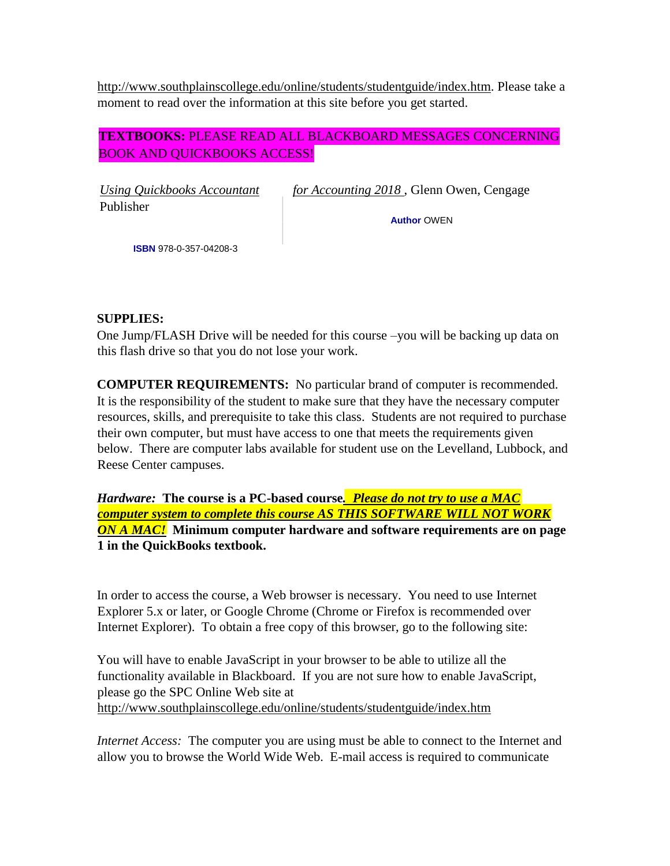[http://www.southplainscollege.edu/online/students/studentguide/index.htm.](http://www.southplainscollege.edu/online/students/studentguide/index.htm) Please take a moment to read over the information at this site before you get started.

# **TEXTBOOKS:** PLEASE READ ALL BLACKBOARD MESSAGES CONCERNING BOOK AND QUICKBOOKS ACCESS!

Publisher

*Using Quickbooks Accountant for Accounting 2018* , Glenn Owen, Cengage

**Author** OWEN

**ISBN** 978-0-357-04208-3

## **SUPPLIES:**

One Jump/FLASH Drive will be needed for this course –you will be backing up data on this flash drive so that you do not lose your work.

**COMPUTER REQUIREMENTS:** No particular brand of computer is recommended. It is the responsibility of the student to make sure that they have the necessary computer resources, skills, and prerequisite to take this class. Students are not required to purchase their own computer, but must have access to one that meets the requirements given below. There are computer labs available for student use on the Levelland, Lubbock, and Reese Center campuses.

*Hardware:* **The course is a PC-based course***. Please do not try to use a MAC computer system to complete this course AS THIS SOFTWARE WILL NOT WORK ON A MAC!* **Minimum computer hardware and software requirements are on page 1 in the QuickBooks textbook.**

In order to access the course, a Web browser is necessary. You need to use Internet Explorer 5.x or later, or Google Chrome (Chrome or Firefox is recommended over Internet Explorer). To obtain a free copy of this browser, go to the following site:

You will have to enable JavaScript in your browser to be able to utilize all the functionality available in Blackboard. If you are not sure how to enable JavaScript, please go the SPC Online Web site at <http://www.southplainscollege.edu/online/students/studentguide/index.htm>

*Internet Access:* The computer you are using must be able to connect to the Internet and allow you to browse the World Wide Web. E-mail access is required to communicate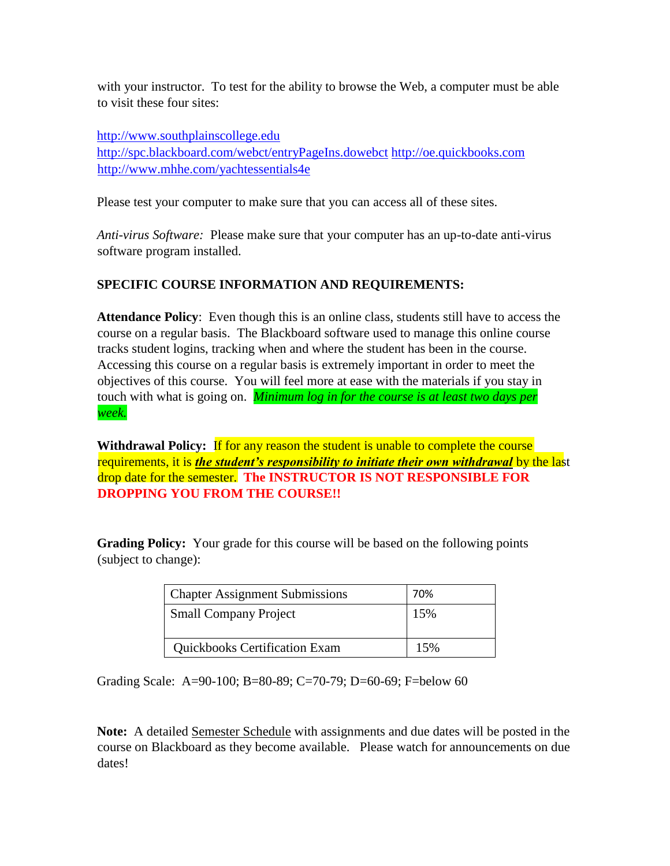with your instructor. To test for the ability to browse the Web, a computer must be able to visit these four sites:

[http://www.southplainscollege.edu](http://www.southplainscollege.edu/)

<http://spc.blackboard.com/webct/entryPageIns.dowebct> [http://oe.quickbooks.com](http://oe.quickbooks.com/) <http://www.mhhe.com/yachtessentials4e>

Please test your computer to make sure that you can access all of these sites.

*Anti-virus Software:* Please make sure that your computer has an up-to-date anti-virus software program installed.

## **SPECIFIC COURSE INFORMATION AND REQUIREMENTS:**

**Attendance Policy**: Even though this is an online class, students still have to access the course on a regular basis. The Blackboard software used to manage this online course tracks student logins, tracking when and where the student has been in the course. Accessing this course on a regular basis is extremely important in order to meet the objectives of this course. You will feel more at ease with the materials if you stay in touch with what is going on. *Minimum log in for the course is at least two days per week.*

Withdrawal Policy: If for any reason the student is unable to complete the course requirements, it is *the student's responsibility to initiate their own withdrawal* by the last drop date for the semester. **The INSTRUCTOR IS NOT RESPONSIBLE FOR DROPPING YOU FROM THE COURSE!!**

**Grading Policy:** Your grade for this course will be based on the following points (subject to change):

| <b>Chapter Assignment Submissions</b> | 70% |
|---------------------------------------|-----|
| <b>Small Company Project</b>          | 15% |
| <b>Quickbooks Certification Exam</b>  | 15% |

Grading Scale: A=90-100; B=80-89; C=70-79; D=60-69; F=below 60

**Note:** A detailed Semester Schedule with assignments and due dates will be posted in the course on Blackboard as they become available. Please watch for announcements on due dates!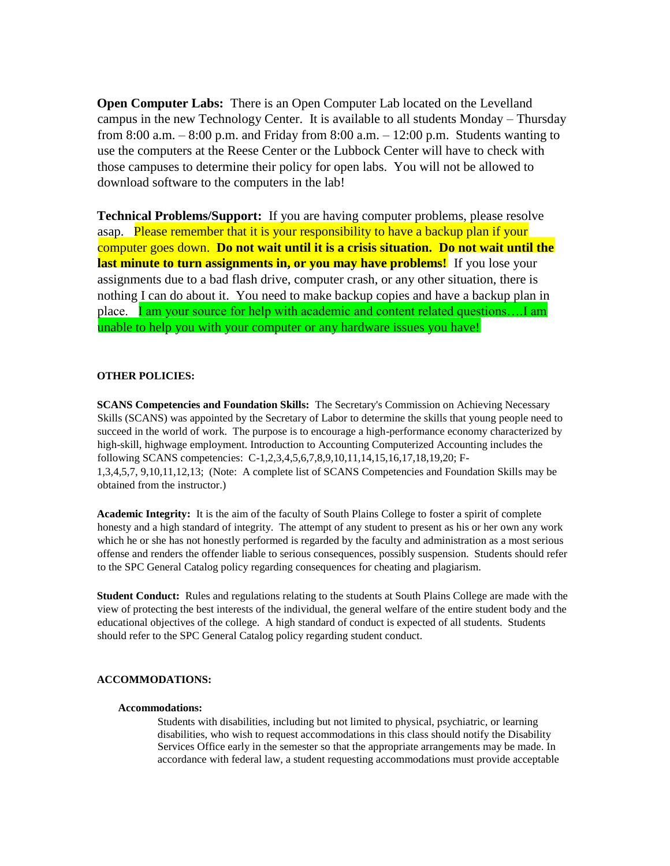**Open Computer Labs:** There is an Open Computer Lab located on the Levelland campus in the new Technology Center. It is available to all students Monday – Thursday from 8:00 a.m.  $-8:00$  p.m. and Friday from 8:00 a.m.  $-12:00$  p.m. Students wanting to use the computers at the Reese Center or the Lubbock Center will have to check with those campuses to determine their policy for open labs. You will not be allowed to download software to the computers in the lab!

**Technical Problems/Support:** If you are having computer problems, please resolve asap. Please remember that it is your responsibility to have a backup plan if your computer goes down. **Do not wait until it is a crisis situation. Do not wait until the last minute to turn assignments in, or you may have problems!** If you lose your assignments due to a bad flash drive, computer crash, or any other situation, there is nothing I can do about it. You need to make backup copies and have a backup plan in place. I am your source for help with academic and content related questions....I am unable to help you with your computer or any hardware issues you have!

## **OTHER POLICIES:**

**SCANS Competencies and Foundation Skills:** The Secretary's Commission on Achieving Necessary Skills (SCANS) was appointed by the Secretary of Labor to determine the skills that young people need to succeed in the world of work. The purpose is to encourage a high-performance economy characterized by high-skill, highwage employment. Introduction to Accounting Computerized Accounting includes the following SCANS competencies: C-1,2,3,4,5,6,7,8,9,10,11,14,15,16,17,18,19,20; F-1,3,4,5,7, 9,10,11,12,13; (Note: A complete list of SCANS Competencies and Foundation Skills may be obtained from the instructor.)

**Academic Integrity:** It is the aim of the faculty of South Plains College to foster a spirit of complete honesty and a high standard of integrity. The attempt of any student to present as his or her own any work which he or she has not honestly performed is regarded by the faculty and administration as a most serious offense and renders the offender liable to serious consequences, possibly suspension. Students should refer to the SPC General Catalog policy regarding consequences for cheating and plagiarism.

**Student Conduct:** Rules and regulations relating to the students at South Plains College are made with the view of protecting the best interests of the individual, the general welfare of the entire student body and the educational objectives of the college. A high standard of conduct is expected of all students. Students should refer to the SPC General Catalog policy regarding student conduct.

## **ACCOMMODATIONS:**

#### **Accommodations:**

Students with disabilities, including but not limited to physical, psychiatric, or learning disabilities, who wish to request accommodations in this class should notify the Disability Services Office early in the semester so that the appropriate arrangements may be made. In accordance with federal law, a student requesting accommodations must provide acceptable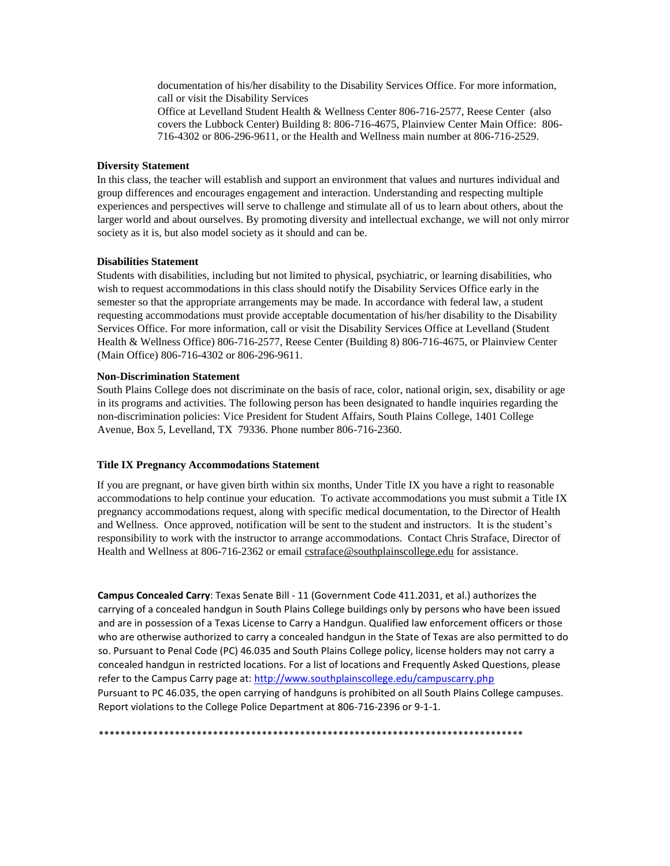documentation of his/her disability to the Disability Services Office. For more information, call or visit the Disability Services Office at Levelland Student Health & Wellness Center 806-716-2577, Reese Center (also covers the Lubbock Center) Building 8: 806-716-4675, Plainview Center Main Office: 806- 716-4302 or 806-296-9611, or the Health and Wellness main number at 806-716-2529.

#### **Diversity Statement**

In this class, the teacher will establish and support an environment that values and nurtures individual and group differences and encourages engagement and interaction. Understanding and respecting multiple experiences and perspectives will serve to challenge and stimulate all of us to learn about others, about the larger world and about ourselves. By promoting diversity and intellectual exchange, we will not only mirror society as it is, but also model society as it should and can be.

#### **Disabilities Statement**

Students with disabilities, including but not limited to physical, psychiatric, or learning disabilities, who wish to request accommodations in this class should notify the Disability Services Office early in the semester so that the appropriate arrangements may be made. In accordance with federal law, a student requesting accommodations must provide acceptable documentation of his/her disability to the Disability Services Office. For more information, call or visit the Disability Services Office at Levelland (Student Health & Wellness Office) 806-716-2577, Reese Center (Building 8) 806-716-4675, or Plainview Center (Main Office) 806-716-4302 or 806-296-9611.

#### **Non-Discrimination Statement**

South Plains College does not discriminate on the basis of race, color, national origin, sex, disability or age in its programs and activities. The following person has been designated to handle inquiries regarding the non-discrimination policies: Vice President for Student Affairs, South Plains College, 1401 College Avenue, Box 5, Levelland, TX 79336. Phone number 806-716-2360.

#### **Title IX Pregnancy Accommodations Statement**

If you are pregnant, or have given birth within six months, Under Title IX you have a right to reasonable accommodations to help continue your education. To activate accommodations you must submit a Title IX pregnancy accommodations request, along with specific medical documentation, to the Director of Health and Wellness. Once approved, notification will be sent to the student and instructors. It is the student's responsibility to work with the instructor to arrange accommodations. Contact Chris Straface, Director of Health and Wellness at 806-716-2362 or email cstraface@southplainscollege.edu for assistance.

**Campus Concealed Carry**: Texas Senate Bill - 11 (Government Code 411.2031, et al.) authorizes the carrying of a concealed handgun in South Plains College buildings only by persons who have been issued and are in possession of a Texas License to Carry a Handgun. Qualified law enforcement officers or those who are otherwise authorized to carry a concealed handgun in the State of Texas are also permitted to do so. Pursuant to Penal Code (PC) 46.035 and South Plains College policy, license holders may not carry a concealed handgun in restricted locations. For a list of locations and Frequently Asked Questions, please refer to the Campus Carry page at: <http://www.southplainscollege.edu/campuscarry.php> Pursuant to PC 46.035, the open carrying of handguns is prohibited on all South Plains College campuses. Report violations to the College Police Department at 806-716-2396 or 9-1-1.

\*\*\*\*\*\*\*\*\*\*\*\*\*\*\*\*\*\*\*\*\*\*\*\*\*\*\*\*\*\*\*\*\*\*\*\*\*\*\*\*\*\*\*\*\*\*\*\*\*\*\*\*\*\*\*\*\*\*\*\*\*\*\*\*\*\*\*\*\*\*\*\*\*\*\*\*\*\*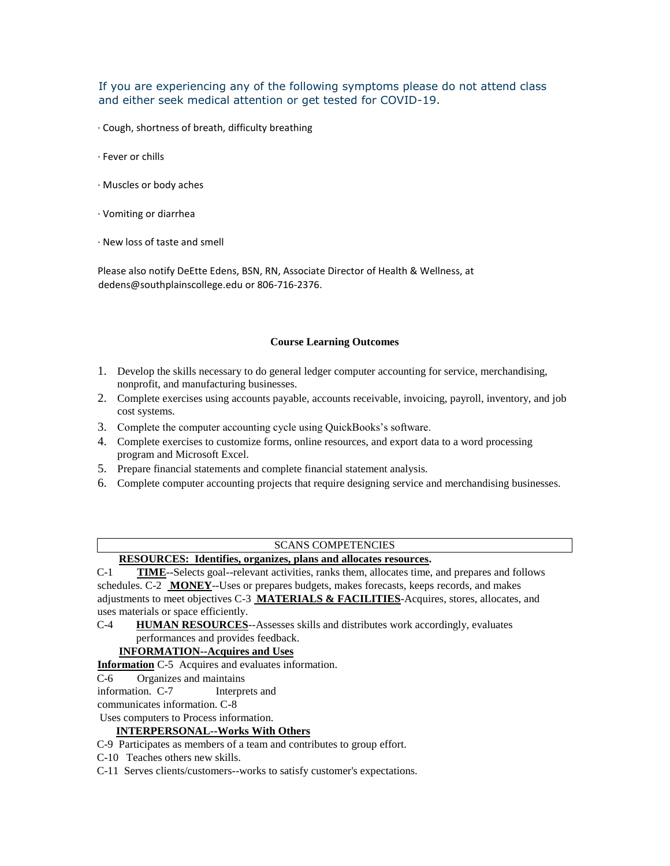If you are experiencing any of the following symptoms please do not attend class and either seek medical attention or get tested for COVID-19.

- · Cough, shortness of breath, difficulty breathing
- · Fever or chills
- · Muscles or body aches
- · Vomiting or diarrhea
- · New loss of taste and smell

Please also notify DeEtte Edens, BSN, RN, Associate Director of Health & Wellness, at dedens@southplainscollege.edu or 806-716-2376.

## **Course Learning Outcomes**

- 1. Develop the skills necessary to do general ledger computer accounting for service, merchandising, nonprofit, and manufacturing businesses.
- 2. Complete exercises using accounts payable, accounts receivable, invoicing, payroll, inventory, and job cost systems.
- 3. Complete the computer accounting cycle using QuickBooks's software.
- 4. Complete exercises to customize forms, online resources, and export data to a word processing program and Microsoft Excel.
- 5. Prepare financial statements and complete financial statement analysis.
- 6. Complete computer accounting projects that require designing service and merchandising businesses.

## SCANS COMPETENCIES

## **RESOURCES: Identifies, organizes, plans and allocates resources.**

C-1 **TIME**--Selects goal--relevant activities, ranks them, allocates time, and prepares and follows schedules. C-2 **MONEY**--Uses or prepares budgets, makes forecasts, keeps records, and makes adjustments to meet objectives C-3 **MATERIALS & FACILITIES**-Acquires, stores, allocates, and uses materials or space efficiently.

C-4 **HUMAN RESOURCES**--Assesses skills and distributes work accordingly, evaluates performances and provides feedback.

## **INFORMATION--Acquires and Uses**

**Information** C-5 Acquires and evaluates information.

### C-6 Organizes and maintains

information. C-7 Interprets and

communicates information. C-8

## Uses computers to Process information.

## **INTERPERSONAL--Works With Others**

C-9 Participates as members of a team and contributes to group effort.

- C-10 Teaches others new skills.
- C-11 Serves clients/customers--works to satisfy customer's expectations.